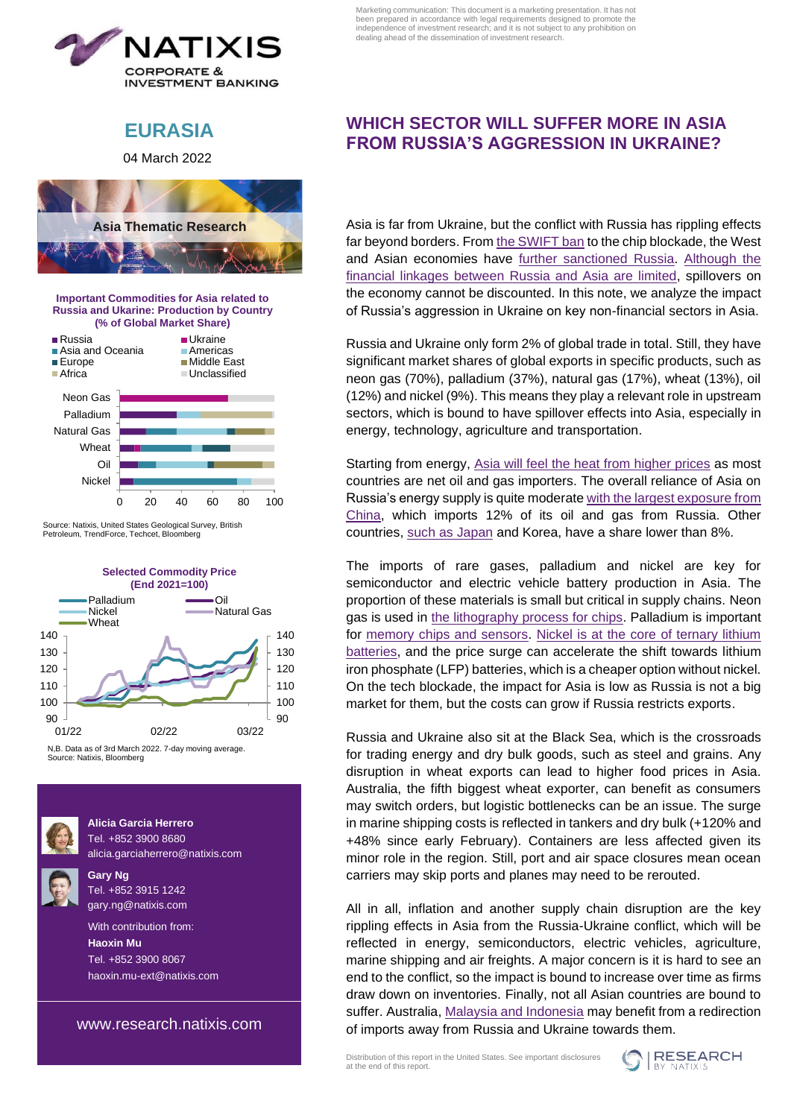

Marketing communication: This document is a marketing presentation. It has not been prepared in accordance with legal requirements designed to promote the independence of investment research; and it is not subject to any prohibition on dealing ahead of the dissemination of investment research.

# **EURASIA**

04 March 2022



**Important Commodities for Asia related to Russia and Ukarine: Production by Country**



Source: Natixis, United States Geological Survey, British Petroleum, TrendForce, Techcet, Bloomberg



N,B. Data as of 3rd March 2022. 7-day moving average. Source: Natixis, Bloomberg



**Alicia Garcia Herrero** Tel. +852 3900 8680 [alicia.garciaherrero@natixis.com](http://mailto:alicia.garciaherrero@natixis.com)

**Gary Ng** Tel. +852 3915 1242 [gary.ng@natixis.com](http://mailto:gary.ng@natixis.com)

 With contribution from:  **Haoxin Mu** Tel. +852 3900 8067 [haoxin.mu-ext@natixis.com](http://mailto:haoxin.mu-ext@natixis.com)

[www.research.natixis.com](http://www.research.natixis.com/)

## **WHICH SECTOR WILL SUFFER MORE IN ASIA FROM RUSSIA'S AGGRESSION IN UKRAINE?**

Asia is far from Ukraine, but the conflict with Russia has rippling effects far beyond borders. From [the SWIFT ban](https://research.natixis.com/Site/en/publication/T2hqhDmbSabi5uZRCo_e0g%3D%3D?from=share) to the chip blockade, the West and Asian economies have [further sanctioned](https://research.natixis.com/Site/en/publication/Lx_OoFRV0QI8GxSnqZelYA%3D%3D?from=share) Russia. [Although the](https://research.natixis.com/Site/en/publication/OFWunW0dGMKMifH0WJQraw%3D%3D?from=share)  [financial linkages between Russia and Asia are limited,](https://research.natixis.com/Site/en/publication/OFWunW0dGMKMifH0WJQraw%3D%3D?from=share) spillovers on the economy cannot be discounted. In this note, we analyze the impact of Russia's aggression in Ukraine on key non-financial sectors in Asia.

Russia and Ukraine only form 2% of global trade in total. Still, they have significant market shares of global exports in specific products, such as neon gas (70%), palladium (37%), natural gas (17%), wheat (13%), oil (12%) and nickel (9%). This means they play a relevant role in upstream sectors, which is bound to have spillover effects into Asia, especially in energy, technology, agriculture and transportation.

Starting from energy, Asia will [feel the heat from higher prices](https://research.natixis.com/Site/en/publication/tOX_4K9LqyaZtZ8fXA5X0w%3D%3D?from=share) as most countries are net oil and gas importers. The overall reliance of Asia on Russia's energy supply is quite moderate with the [largest exposure from](https://research.natixis.com/Site/en/publication/kgw9Tad9UPR7S6xlD5z2Yg%3D%3D?from=share)  [China,](https://research.natixis.com/Site/en/publication/kgw9Tad9UPR7S6xlD5z2Yg%3D%3D?from=share) which imports 12% of its oil and gas from Russia. Other countries, [such as Japan](https://research.natixis.com/Site/en/publication/yWYXM7DlGdMeGppUoQPYXA%3D%3D?from=share) and Korea, have a share lower than 8%.

The imports of rare gases, palladium and nickel are key for semiconductor and electric vehicle battery production in Asia. The proportion of these materials is small but critical in supply chains. Neon gas is used in [the lithography process for chips.](https://research.natixis.com/Site/en/publication/Tyu-jOhLQUpLhwf_FbpSVw%3D%3D?from=share) Palladium is important for [memory chips and sensors.](https://research.natixis.com/Site/en/publication/qnQOLx-ryOXJbNopKdKCyw%3D%3D?from=share) [Nickel is at the core of ternary lithium](https://research.natixis.com/Site/en/publication/TNARTb22f1-s02IDnxttVg%3D%3D?from=share)  [batteries,](https://research.natixis.com/Site/en/publication/TNARTb22f1-s02IDnxttVg%3D%3D?from=share) and the price surge can accelerate the shift towards lithium iron phosphate (LFP) batteries, which is a cheaper option without nickel. On the tech blockade, the impact for Asia is low as Russia is not a big market for them, but the costs can grow if Russia restricts exports.

Russia and Ukraine also sit at the Black Sea, which is the crossroads for trading energy and dry bulk goods, such as steel and grains. Any disruption in wheat exports can lead to higher food prices in Asia. Australia, the fifth biggest wheat exporter, can benefit as consumers may switch orders, but logistic bottlenecks can be an issue. The surge in marine shipping costs is reflected in tankers and dry bulk (+120% and +48% since early February). Containers are less affected given its minor role in the region. Still, port and air space closures mean ocean carriers may skip ports and planes may need to be rerouted.

All in all, inflation and another supply chain disruption are the key rippling effects in Asia from the Russia-Ukraine conflict, which will be reflected in energy, semiconductors, electric vehicles, agriculture, marine shipping and air freights. A major concern is it is hard to see an end to the conflict, so the impact is bound to increase over time as firms draw down on inventories. Finally, not all Asian countries are bound to suffer. Australia, [Malaysia and Indonesia](https://research.natixis.com/Site/en/publication/jGOWmBmSSY1Gs82ZeHWDfg%3D%3D?from=share) may benefit from a redirection of imports away from Russia and Ukraine towards them.

Distribution of this report in the United States. See important disclosures at the end of this report.

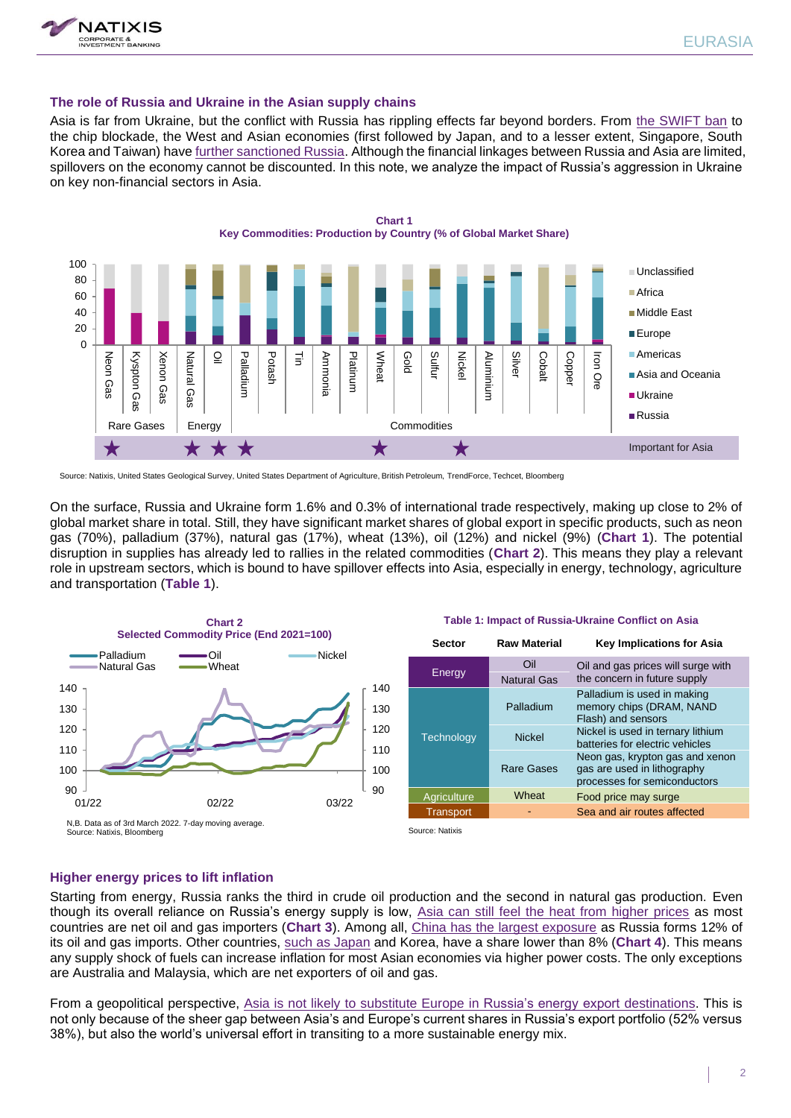

#### **The role of Russia and Ukraine in the Asian supply chains**

Asia is far from Ukraine, but the conflict with Russia has rippling effects far beyond borders. From [the SWIFT ban](https://research.natixis.com/Site/en/publication/T2hqhDmbSabi5uZRCo_e0g%3D%3D?from=share) to the chip blockade, the West and Asian economies (first followed by Japan, and to a lesser extent, Singapore, South Korea and Taiwan) have [further sanctioned Russia.](https://research.natixis.com/Site/en/publication/Lx_OoFRV0QI8GxSnqZelYA%3D%3D?from=share) Although the financial linkages between Russia and Asia are limited, spillovers on the economy cannot be discounted. In this note, we analyze the impact of Russia's aggression in Ukraine on key non-financial sectors in Asia.



Source: Natixis, United States Geological Survey, United States Department of Agriculture, British Petroleum, TrendForce, Techcet, Bloomberg

On the surface, Russia and Ukraine form 1.6% and 0.3% of international trade respectively, making up close to 2% of global market share in total. Still, they have significant market shares of global export in specific products, such as neon gas (70%), palladium (37%), natural gas (17%), wheat (13%), oil (12%) and nickel (9%) (**Chart 1**). The potential disruption in supplies has already led to rallies in the related commodities (**Chart 2**). This means they play a relevant role in upstream sectors, which is bound to have spillover effects into Asia, especially in energy, technology, agriculture and transportation (**Table 1**).



#### **Table 1: Impact of Russia-Ukraine Conflict on Asia**

| <b>Sector</b>     | <b>Raw Material</b> | <b>Key Implications for Asia</b>                                                               |
|-------------------|---------------------|------------------------------------------------------------------------------------------------|
| Energy            | Oil                 | Oil and gas prices will surge with                                                             |
|                   | <b>Natural Gas</b>  | the concern in future supply                                                                   |
| <b>Technology</b> | Palladium           | Palladium is used in making<br>memory chips (DRAM, NAND<br>Flash) and sensors                  |
|                   | <b>Nickel</b>       | Nickel is used in ternary lithium<br>batteries for electric vehicles                           |
|                   | <b>Rare Gases</b>   | Neon gas, krypton gas and xenon<br>gas are used in lithography<br>processes for semiconductors |
| Agriculture       | Wheat               | Food price may surge                                                                           |
| <b>Transport</b>  |                     | Sea and air routes affected                                                                    |
| Source: Natixis   |                     |                                                                                                |

#### **Higher energy prices to lift inflation**

Starting from energy, Russia ranks the third in crude oil production and the second in natural gas production. Even though its overall reliance on Russia's energy supply is low, [Asia can still feel the heat from higher prices](https://research.natixis.com/Site/en/publication/tOX_4K9LqyaZtZ8fXA5X0w%3D%3D?from=share) as most countries are net oil and gas importers (**Chart 3**). Among all, [China has the largest exposure](https://research.natixis.com/Site/en/publication/kgw9Tad9UPR7S6xlD5z2Yg%3D%3D?from=share) as Russia forms 12% of its oil and gas imports. Other countries, [such as Japan](https://research.natixis.com/Site/en/publication/yWYXM7DlGdMeGppUoQPYXA%3D%3D?from=share) and Korea, have a share lower than 8% (**Chart 4**). This means any supply shock of fuels can increase inflation for most Asian economies via higher power costs. The only exceptions are Australia and Malaysia, which are net exporters of oil and gas.

From a geopolitical perspective, [Asia is not likely to substitute Europe](https://research.natixis.com/Site/en/publication/34w3CuwPb_wbgREMQLL2wg%3D%3D?from=share) in Russia's energy export destinations. This is not only because of the sheer gap between Asia's and Europe's current shares in Russia's export portfolio (52% versus 38%), but also the world's universal effort in transiting to a more sustainable energy mix.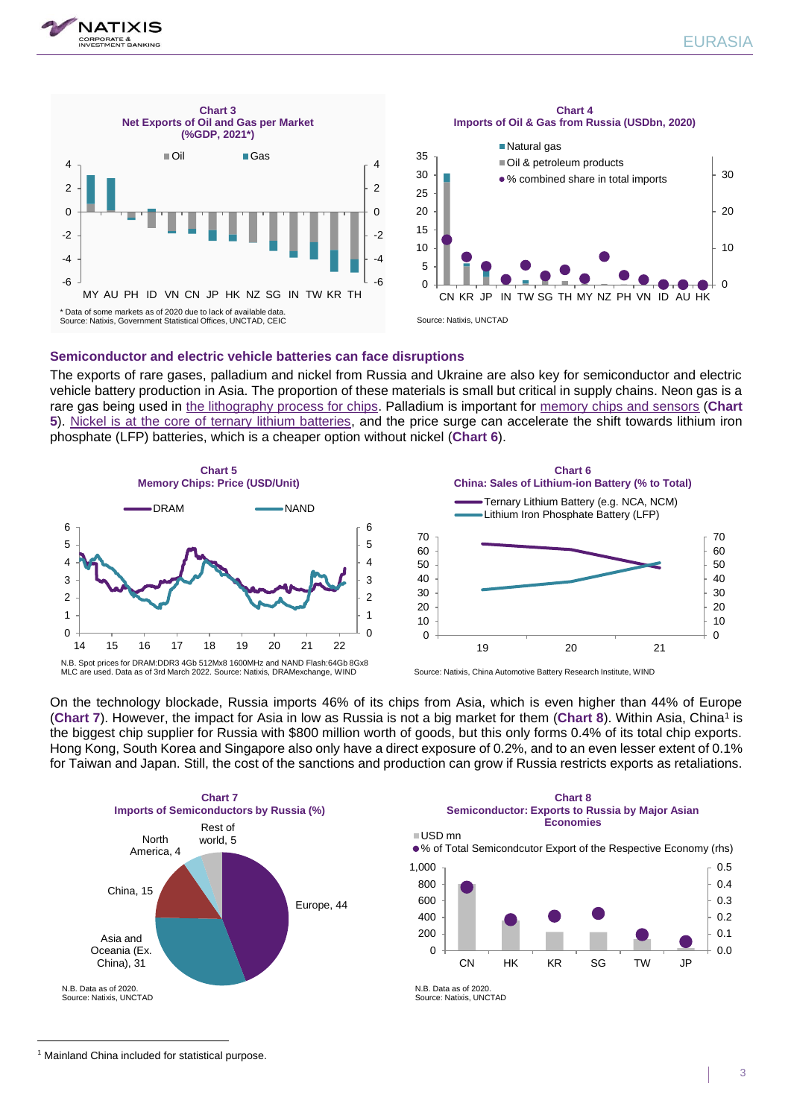





#### **Semiconductor and electric vehicle batteries can face disruptions**

The exports of rare gases, palladium and nickel from Russia and Ukraine are also key for semiconductor and electric vehicle battery production in Asia. The proportion of these materials is small but critical in supply chains. Neon gas is a rare gas being used in [the lithography process for chips.](https://research.natixis.com/Site/en/publication/Tyu-jOhLQUpLhwf_FbpSVw%3D%3D?from=share) Palladium is important for [memory chips and sensors](https://research.natixis.com/Site/en/publication/qnQOLx-ryOXJbNopKdKCyw%3D%3D?from=share) (**Chart 5**). [Nickel is at the core of ternary lithium batteries,](https://research.natixis.com/Site/en/publication/TNARTb22f1-s02IDnxttVg%3D%3D?from=share) and the price surge can accelerate the shift towards lithium iron phosphate (LFP) batteries, which is a cheaper option without nickel (**Chart 6**).





MLC are used. Data as of 3rd March 2022. Source: Natixis, DRAMexchange, WIND

Source: Natixis, China Automotive Battery Research Institute, WIND

On the technology blockade, Russia imports 46% of its chips from Asia, which is even higher than 44% of Europe (Chart 7). However, the impact for Asia in low as Russia is not a big market for them (Chart 8). Within Asia, China<sup>1</sup> is the biggest chip supplier for Russia with \$800 million worth of goods, but this only forms 0.4% of its total chip exports. Hong Kong, South Korea and Singapore also only have a direct exposure of 0.2%, and to an even lesser extent of 0.1% for Taiwan and Japan. Still, the cost of the sanctions and production can grow if Russia restricts exports as retaliations.





Source: Natixis, UNCTAD

<sup>&</sup>lt;sup>1</sup> Mainland China included for statistical purpose.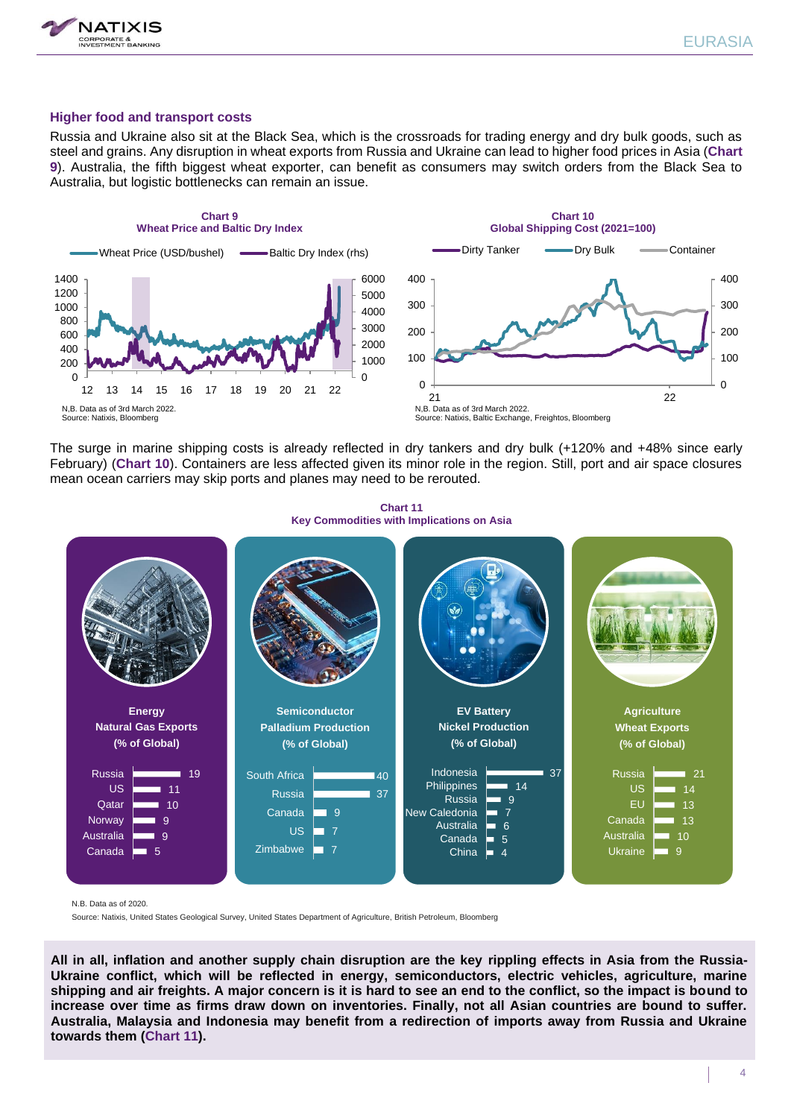



### **Higher food and transport costs**

Russia and Ukraine also sit at the Black Sea, which is the crossroads for trading energy and dry bulk goods, such as steel and grains. Any disruption in wheat exports from Russia and Ukraine can lead to higher food prices in Asia (**Chart 9**). Australia, the fifth biggest wheat exporter, can benefit as consumers may switch orders from the Black Sea to Australia, but logistic bottlenecks can remain an issue.





The surge in marine shipping costs is already reflected in dry tankers and dry bulk (+120% and +48% since early February) (**Chart 10**). Containers are less affected given its minor role in the region. Still, port and air space closures mean ocean carriers may skip ports and planes may need to be rerouted.



**Chart 11 Key Commodities with Implications on Asia**

N.B. Data as of 2020.

Source: Natixis, United States Geological Survey, United States Department of Agriculture, British Petroleum, Bloomberg

**All in all, inflation and another supply chain disruption are the key rippling effects in Asia from the Russia-Ukraine conflict, which will be reflected in energy, semiconductors, electric vehicles, agriculture, marine shipping and air freights. A major concern is it is hard to see an end to the conflict, so the impact is bound to increase over time as firms draw down on inventories. Finally, not all Asian countries are bound to suffer. Australia, Malaysia and Indonesia may benefit from a redirection of imports away from Russia and Ukraine towards them (Chart 11).**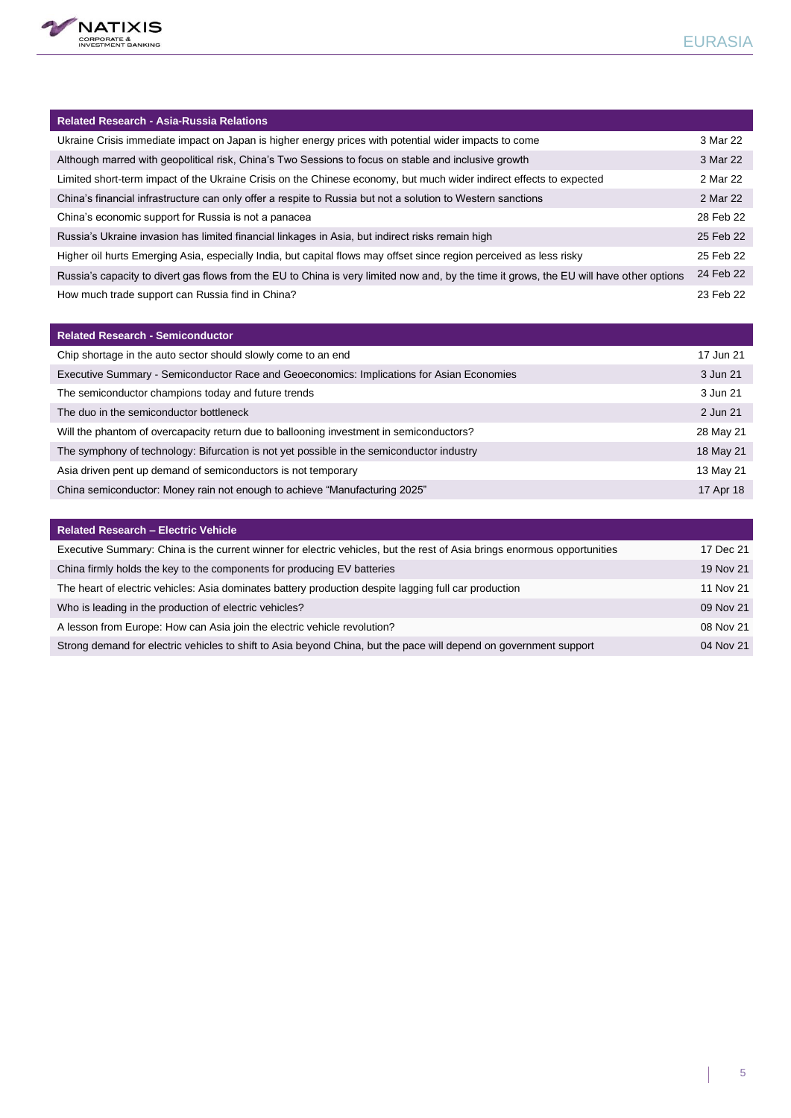

| <b>Related Research - Asia-Russia Relations</b>                                                                                          |           |
|------------------------------------------------------------------------------------------------------------------------------------------|-----------|
| Ukraine Crisis immediate impact on Japan is higher energy prices with potential wider impacts to come                                    | 3 Mar 22  |
| Although marred with geopolitical risk, China's Two Sessions to focus on stable and inclusive growth                                     | 3 Mar 22  |
| Limited short-term impact of the Ukraine Crisis on the Chinese economy, but much wider indirect effects to expected                      | 2 Mar 22  |
| China's financial infrastructure can only offer a respite to Russia but not a solution to Western sanctions                              | 2 Mar 22  |
| China's economic support for Russia is not a panacea                                                                                     | 28 Feb 22 |
| Russia's Ukraine invasion has limited financial linkages in Asia, but indirect risks remain high                                         | 25 Feb 22 |
| Higher oil hurts Emerging Asia, especially India, but capital flows may offset since region perceived as less risky                      | 25 Feb 22 |
| Russia's capacity to divert gas flows from the EU to China is very limited now and, by the time it grows, the EU will have other options |           |
| How much trade support can Russia find in China?                                                                                         |           |

| <b>Related Research - Semiconductor</b>                                                   |           |
|-------------------------------------------------------------------------------------------|-----------|
| Chip shortage in the auto sector should slowly come to an end                             | 17 Jun 21 |
| Executive Summary - Semiconductor Race and Geoeconomics: Implications for Asian Economies | 3 Jun 21  |
| The semiconductor champions today and future trends                                       | 3 Jun 21  |
| The duo in the semiconductor bottleneck                                                   | 2 Jun 21  |
| Will the phantom of overcapacity return due to ballooning investment in semiconductors?   | 28 May 21 |
| The symphony of technology: Bifurcation is not yet possible in the semiconductor industry | 18 May 21 |
| Asia driven pent up demand of semiconductors is not temporary                             | 13 May 21 |
| China semiconductor: Money rain not enough to achieve "Manufacturing 2025"                |           |

| <b>Related Research - Electric Vehicle</b>                                                                               |           |
|--------------------------------------------------------------------------------------------------------------------------|-----------|
| Executive Summary: China is the current winner for electric vehicles, but the rest of Asia brings enormous opportunities | 17 Dec 21 |
| China firmly holds the key to the components for producing EV batteries                                                  | 19 Nov 21 |
| The heart of electric vehicles: Asia dominates battery production despite lagging full car production                    | 11 Nov 21 |
| Who is leading in the production of electric vehicles?                                                                   | 09 Nov 21 |
| A lesson from Europe: How can Asia join the electric vehicle revolution?                                                 | 08 Nov 21 |
| Strong demand for electric vehicles to shift to Asia beyond China, but the pace will depend on government support        | 04 Nov 21 |

 $\overline{\phantom{a}}$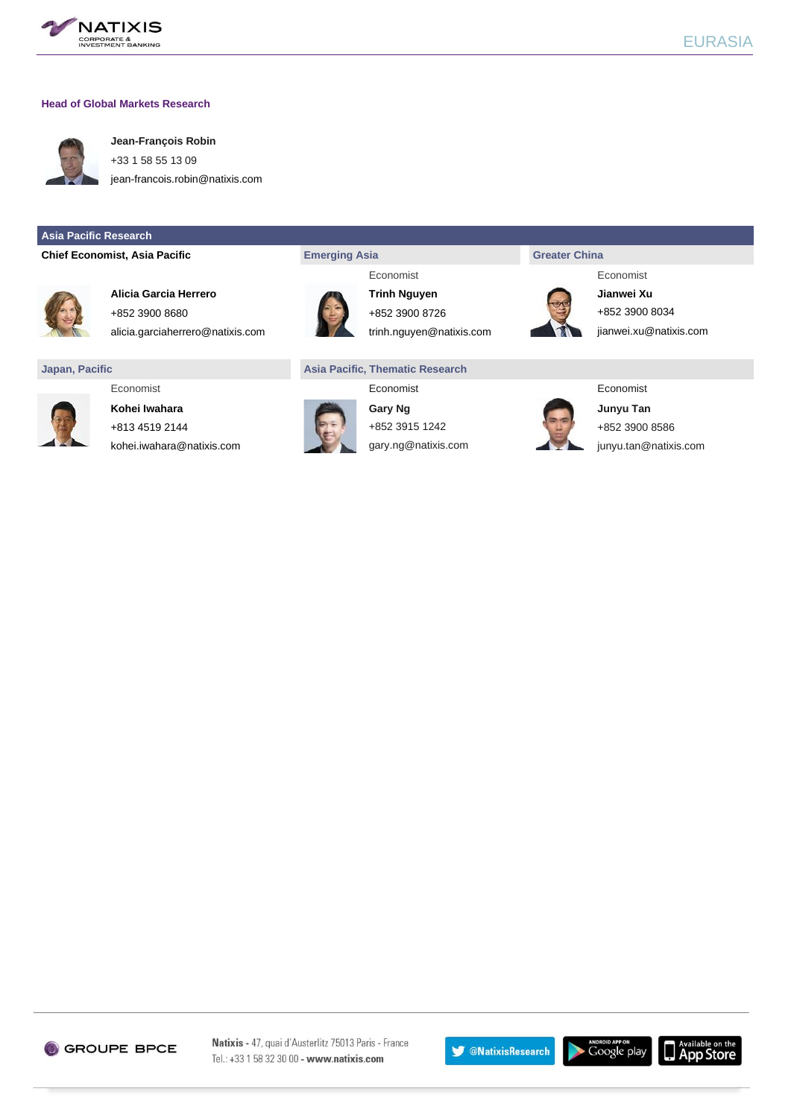

#### **Head of Global Markets Research**



**Jean-François Robin** +33 1 58 55 13 09

[jean-francois.robin@natixis.com](mailto:jean-francois.robin@natixis.com)

#### **Asia Pacific Research**

**Chief Economist, Asia Pacific <b>Exercise 2 Emerging Asia Emerging Asia Emerging Asia Greater China** 



**Alicia Garcia Herrero Trinh Nguyen Jianwei Xu** +852 3900 8680 +852 3900 8726 +852 3900 8726

alicia.garciaherrero@natixis.com trinh.nguyen@natixis.com [jianwei.xu@natixis.com](http://mailto:jianwei.xu@ap.natixis.com)

#### **Japan, Pacific Asia Pacific, Thematic Research**



**Kohei Iwahara Gary Ng Gary Ng Gary Ng Gary Ng Junyu Tan** +813 4519 2144 +852 3915 1242 +852 3900 8586 [kohei.iwahara@natixis.com](mailto:kohei.iwahara@natixis.com) gary.ng@natixis.com junyu.tan@natixis.com











Natixis - 47, quai d'Austerlitz 75013 Paris - France Tel.: +33 1 58 32 30 00 - www.natixis.com

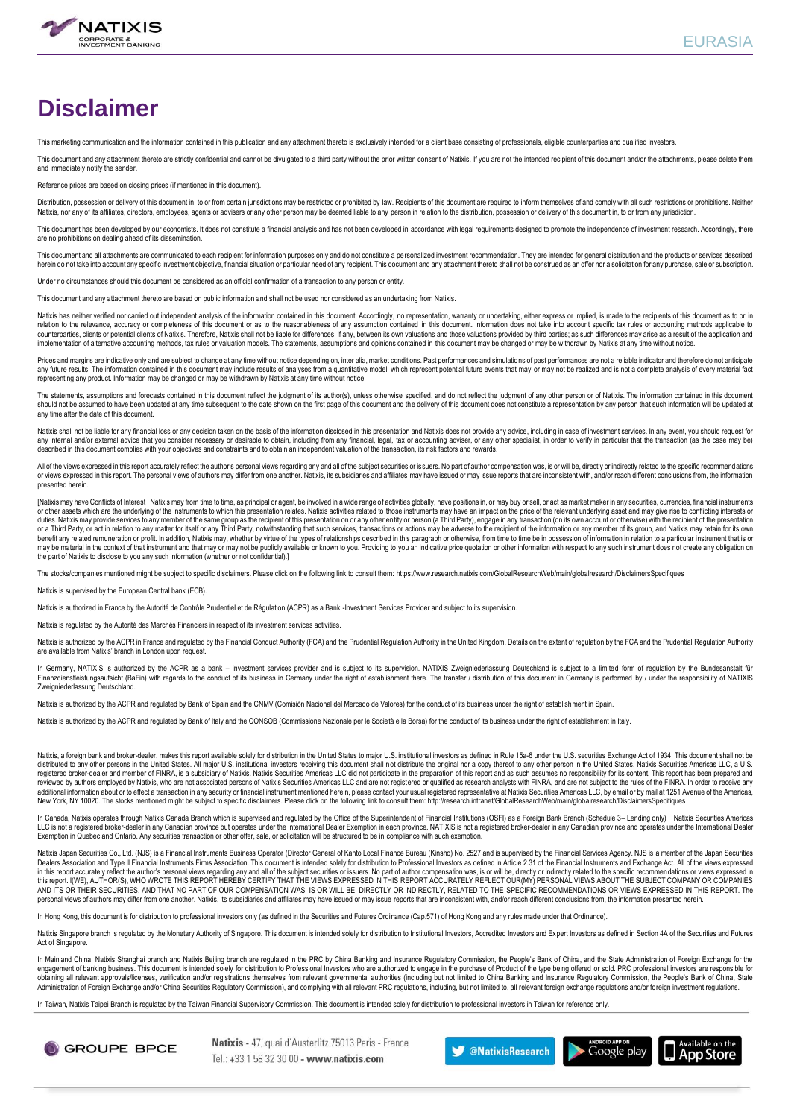

# **Disclaimer**

This marketing communication and the information contained in this publication and any attachment thereto is exclusively intended for a client base consisting of professionals, eligible counterparties and qualified investo

This document and any attachment thereto are strictly confidential and cannot be divulgated to a third party without the prior written consent of Natixis. If you are not the intended recipient of this document and/or the a and immediately notify the sender.

Reference prices are based on closing prices (if mentioned in this document).

Distribution, possession or delivery of this document in, to or from certain jurisdictions may be restricted or prohibited by law. Recipients of this document are required to inform themselves of and comply with all such r

This document has been developed by our economists. If does not constitute a financial analysis and has not been developed in accordance with legal requirements designed to promote the independence of investment research. are no prohibitions on dealing ahead of its dissemination.

This document and all attachments are communicated to each recipient for information purposes only and do not constitute a personalized investment recommendation. They are intended for general distribution and the products herein do not take into account any specific investment objective, financial situation or particular need of any recipient. This document and any attachment thereto shall not be construed as an offer nor a solicitation for

Under no circumstances should this document be considered as an official confirmation of a transaction to any person or entity.

This document and any attachment thereto are based on public information and shall not be used nor considered as an undertaking from Natixis.

Natixis has neither verified nor carried out independent analysis of the information contained in this document. Accordingly, no representation, warranty or undertaking, either express or implied, is made to the recipients counterparties, clients or potential clients of Natixis. Therefore, Natixis shall not be liable for differences, if any, between its own valuations and those valuations provided by third parties; as such differences may ar implementation of alternative accounting methods, tax rules or valuation models. The statements, assumptions and opinions contained in this document may be changed or may be withdrawn by Natixis at any time without notice.

Prices and margins are indicative only and are subject to change at any time without notice depending on, inter alia, market conditions. Past performances and simulations of past performances are not a reliable indicator a representing any product. Information may be changed or may be withdrawn by Natixis at any time without notice.

The statements, assumptions and forecasts contained in this document reflect the judgment of its author(s), unless otherwise specified, and do not reflect the judgment of any other person or of Natixis. The information con should not be assumed to have been updated at any time subsequent to the date shown on the first page of this document and the delivery of this document does not constitute a representation by any person that such informat any time after the date of this document.

Natixis shall not be liable for any financial loss or any decision taken on the basis of the information disclosed in this presentation and Natixis does not provide any advice, including in case of investment services. In any internal and/or external advice that you consider necessary or desirable to obtain, including from any financial, legal, tax or accounting adviser, or any other specialist, in order to verify in particular that the tra described in this document complies with your objectives and constraints and to obtain an independent valuation of the transaction, its risk factors and rewards.

All of the views expressed in this report accurately reflect the author's personal views regarding any and all of the subject securities or issuers. No part of author compensation was, is or will be, directly or indirectly or views expressed in this report. The personal views of authors may differ from one another. Natixis, its subsidiaries and affiliates may have issued or may issue reports that are inconsistent with, and/or reach different presented herein.

[Natixis may have Conflicts of Interest : Natixis may from time to time, as principal or agent, be involved in a wide range of activities globally, have positions in, or may buy or sell, or act as market maker in any secur duties. Natixis may provide services to any member of the same group as the recipient of this presentation on or any other entity or person (a Third Party), engage in any transaction (on its own account or otherwise) with experiments of the information to any matter for itself or any Third Party, notwithstanding that such services, transactions or actions may be adverse to the recipient of the information or any member of its group, and Nat benefit any related remuneration or profit. In addition, Natixis may, whether by virtue of the types of relationships described in this paragraph or otherwise, from time to time be in possession of information in relation the part of Natixis to disclose to you any such information (whether or not confidential).]

ocks/companies mentioned might be subject to specific disclaimers. Please click on the following link to consult them: https://www.research.natixis.com/GlobalResearchWeb/main/globalresearch/DisclaimersSpecifiques

Natixis is supervised by the European Central bank (ECB).

Natixis is authorized in France by the Autorité de Contrôle Prudentiel et de Régulation (ACPR) as a Bank -Investment Services Provider and subject to its supervision.

Natixis is regulated by the Autorité des Marchés Financiers in respect of its investment services activities.

Natixis is authorized by the ACPR in France and regulated by the Financial Conduct Authority (FCA) and the Prudential Regulation Authority in the United Kingdom. Details on the extent of regulation by the FCA and the Prude are available from Natixis' branch in London upon request.

In Germany, NATIXIS is authorized by the ACPR as a bank – investment services provider and is subject to its supervision. NATIXIS Zweioniederlassung Deutschland is subject to a limited form of regulation by the Bundesansta Finanzdienstleistungsaufsicht (BaFin) with regards to the conduct of its business in Germany under the right of establishment there. The transfer / distribution of this document in Germany is performed by / under the respo Zweigniederlassung Deutschland.

Natixis is authorized by the ACPR and regulated by Bank of Spain and the CNMV (Comisión Nacional del Mercado de Valores) for the conduct of its business under the right of establishment in Spain.

Natixis is authorized by the ACPR and regulated by Bank of Italy and the CONSOB (Commissione Nazionale per le Società e la Borsa) for the conduct of its business under the right of establishment in Italy.

Natixis, a foreign bank and broker-dealer, makes this report available solely for distribution in the United States to major U.S. institutional investors as defined in Rule 15a-6 under the U.S. securities Exchange Act of 1 registered broker-dealer and member of FINRA, is a subsidiary of Natixis. Natixis Securities Americas LLC did not participate in the preparation of this report and as such assumes no responsibility for its content. This re additional information about or to effect a transaction in any security or financial instrument mentioned herein, please contact your usual registered representative at Natixis Securities Americas LLC, by email or by mail New York, NY 10020. The stocks mentioned might be subject to specific disclaimers. Please click on the following link to consult them: http://research.intranet/GlobalResearchWeb/main/globalresearch/DisclaimersSpecifiques

In Canada, Natixis operates through Natixis Canada Branch which is supervised and regulated by the Office of the Superintendent of Financial Institutions (OSFI) as a Foreign Bank Branch (Schedule 3– Lending only). Natixis Exemption in Quebec and Ontario. Any securities transaction or other offer, sale, or solicitation will be structured to be in compliance with such exemption.

Natixis Japan Securities Co., Ltd. (NJS) is a Financial Instruments Business Operator (Director General of Kanto Local Finance Bureau (Kinsho) No. 2527 and is supervised by the Financial Services Agency. NJS is a member of Dealers Association and Type II Financial Instruments Firms Association. This document is intended solely for distribution to Professional Investors as defined in Article 2.31 of the Financial Instruments and Exchange Act. under construction of the author's personal views regarding any and all of the subject securities or issuers. No part of author compensation was, is or will be, directly or indirectly related to the specific recommending a this report. I(WE), AUTHOR(S), WHO WROTE THIS REPORT HEREBY CERTIFY THAT THE VIEWS EXPRESSED IN THIS REPORT ACCURATELY REFLECT OUR(MY) PERSONAL VIEWS ABOUT THE SUBJECT COMPANY OR COMPANIES AND ITS OR THEIR SECURITIES, AND THAT NO PART OF OUR COMPENSATION WAS, IS OR WILL BE, DIRECTLY OR INDIRECTLY, RELATED TO THE SPECIFIC RECOMMENDATIONS OR VIEWS EXPRESSED IN THIS REPORT. The personal views of authors may differ from one another. Natixis, its subsidiaries and affiliates may have issued or may issue reports that are inconsistent with, and/or reach different conclusions from, the information pres

In Hong Kong, this document is for distribution to professional investors only (as defined in the Securities and Futures Ordinance (Cap.571) of Hong Kong and any rules made under that Ordinance)

Natixis Singapore branch is regulated by the Monetary Authority of Singapore. This document is intended solely for distribution to Institutional Investors, Accredited Investors and Expert Investors as defined in Section 4A Act of Singapore.

In Mainland China, Natixis Shanghai branch and Natixis Beijing branch are regulated in the PRC by China Banking and Insurance Regulatory Commission, the People's Bank of China, and the State Administration of Foreign Excha obtaining all relevant approvals/licenses, verification and/or registrations themselves from relevant governmental authorities (including but not limited to China Banking and Insurance Regulatory Commission, the People's B

In Taiwan, Natixis Taipei Branch is regulated by the Taiwan Financial Supervisory Commission. This document is intended solely for distribution to professional investors in Taiwan for reference only



Natixis - 47, quai d'Austerlitz 75013 Paris - France  $Tel + 33158323000 -$  www.natixis.com